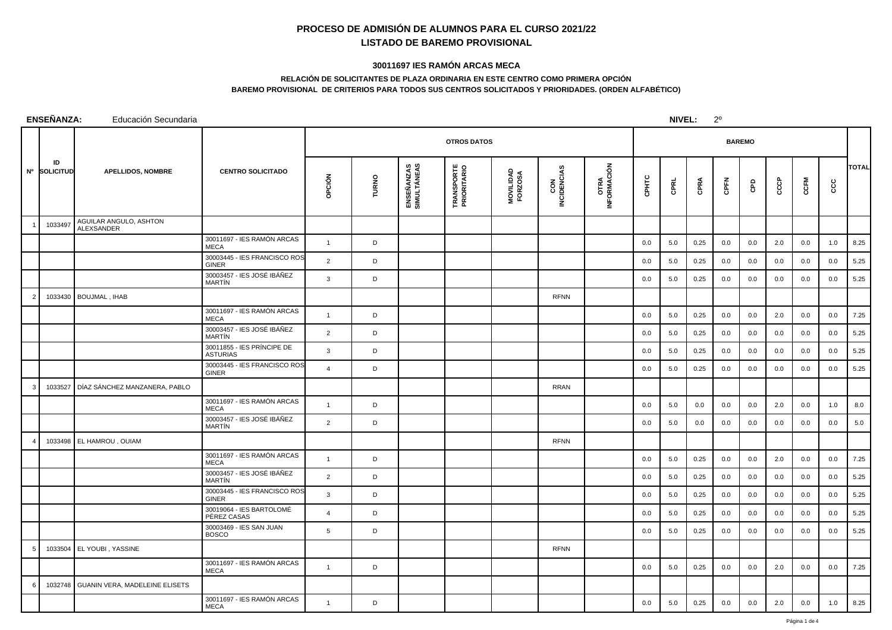## **PROCESO DE ADMISIÓN DE ALUMNOS PARA EL CURSO 2021/22LISTADO DE BAREMO PROVISIONAL**

## **30011697 IES RAMÓN ARCAS MECA**

## **RELACIÓN DE SOLICITANTES DE PLAZA ORDINARIA EN ESTE CENTRO COMO PRIMERA OPCIÓNBAREMO PROVISIONAL DE CRITERIOS PARA TODOS SUS CENTROS SOLICITADOS Y PRIORIDADES. (ORDEN ALFABÉTICO)**

| ENSEÑANZA:<br>NIVEL:<br>$2^{\circ}$<br>Educación Secundaria |                    |                                      |                                               |                |              |                           |                                  |                      |                    |                            |       |      |      |      |               |      |      |     |              |
|-------------------------------------------------------------|--------------------|--------------------------------------|-----------------------------------------------|----------------|--------------|---------------------------|----------------------------------|----------------------|--------------------|----------------------------|-------|------|------|------|---------------|------|------|-----|--------------|
|                                                             |                    |                                      |                                               |                |              |                           | <b>OTROS DATOS</b>               |                      |                    |                            |       |      |      |      | <b>BAREMO</b> |      |      |     |              |
|                                                             | ID<br>Nº SOLICITUD | <b>APELLIDOS, NOMBRE</b>             | <b>CENTRO SOLICITADO</b>                      | opción         | <b>TURNO</b> | ENSEÑANZAS<br>SIMULTÁNEAS | <b>TRANSPORTE</b><br>PRIORITARIO | MOVILIDAD<br>FORZOSA | CON<br>INCIDENCIAS | <b>OTRA</b><br>INFORMACIÓN | CPHTC | CPRL | CPRA | CPFN | GPD           | CCCP | CCFM | ccc | <b>TOTAL</b> |
|                                                             | 1033497            | AGUILAR ANGULO, ASHTON<br>ALEXSANDER |                                               |                |              |                           |                                  |                      |                    |                            |       |      |      |      |               |      |      |     |              |
|                                                             |                    |                                      | 30011697 - IES RAMÓN ARCAS<br><b>MECA</b>     | $\overline{1}$ | D            |                           |                                  |                      |                    |                            | 0.0   | 5.0  | 0.25 | 0.0  | 0.0           | 2.0  | 0.0  | 1.0 | 8.25         |
|                                                             |                    |                                      | 30003445 - IES FRANCISCO ROS<br><b>GINER</b>  | 2              | D            |                           |                                  |                      |                    |                            | 0.0   | 5.0  | 0.25 | 0.0  | 0.0           | 0.0  | 0.0  | 0.0 | 5.25         |
|                                                             |                    |                                      | 30003457 - IES JOSÉ IBÁÑEZ<br>MARTÍN          | 3              | D            |                           |                                  |                      |                    |                            | 0.0   | 5.0  | 0.25 | 0.0  | 0.0           | 0.0  | 0.0  | 0.0 | 5.25         |
|                                                             | 1033430            | BOUJMAL, IHAB                        |                                               |                |              |                           |                                  |                      | <b>RFNN</b>        |                            |       |      |      |      |               |      |      |     |              |
|                                                             |                    |                                      | 30011697 - IES RAMÓN ARCAS<br><b>MECA</b>     | $\overline{1}$ | D            |                           |                                  |                      |                    |                            | 0.0   | 5.0  | 0.25 | 0.0  | 0.0           | 2.0  | 0.0  | 0.0 | 7.25         |
|                                                             |                    |                                      | 30003457 - IES JOSÉ IBÁÑEZ<br>MARTÍN          | 2              | D            |                           |                                  |                      |                    |                            | 0.0   | 5.0  | 0.25 | 0.0  | 0.0           | 0.0  | 0.0  | 0.0 | 5.25         |
|                                                             |                    |                                      | 30011855 - IES PRÍNCIPE DE<br><b>ASTURIAS</b> | $\mathbf{3}$   | D            |                           |                                  |                      |                    |                            | 0.0   | 5.0  | 0.25 | 0.0  | 0.0           | 0.0  | 0.0  | 0.0 | 5.25         |
|                                                             |                    |                                      | 30003445 - IES FRANCISCO ROS<br><b>GINER</b>  | $\overline{4}$ | D            |                           |                                  |                      |                    |                            | 0.0   | 5.0  | 0.25 | 0.0  | 0.0           | 0.0  | 0.0  | 0.0 | 5.25         |
|                                                             | 1033527            | DÍAZ SÁNCHEZ MANZANERA, PABLO        |                                               |                |              |                           |                                  |                      | <b>RRAN</b>        |                            |       |      |      |      |               |      |      |     |              |
|                                                             |                    |                                      | 30011697 - IES RAMÓN ARCAS<br>MECA            | $\overline{1}$ | D            |                           |                                  |                      |                    |                            | 0.0   | 5.0  | 0.0  | 0.0  | 0.0           | 2.0  | 0.0  | 1.0 | 8.0          |
|                                                             |                    |                                      | 30003457 - IES JOSÉ IBÁÑEZ<br>MARTÍN          | 2              | D            |                           |                                  |                      |                    |                            | 0.0   | 5.0  | 0.0  | 0.0  | 0.0           | 0.0  | 0.0  | 0.0 | 5.0          |
|                                                             |                    | 1033498 EL HAMROU, OUIAM             |                                               |                |              |                           |                                  |                      | <b>RFNN</b>        |                            |       |      |      |      |               |      |      |     |              |
|                                                             |                    |                                      | 30011697 - IES RAMÓN ARCAS<br><b>MECA</b>     | $\overline{1}$ | D            |                           |                                  |                      |                    |                            | 0.0   | 5.0  | 0.25 | 0.0  | 0.0           | 2.0  | 0.0  | 0.0 | 7.25         |
|                                                             |                    |                                      | 30003457 - IES JOSÉ IBÁÑEZ<br>MARTÍN          | 2              | D            |                           |                                  |                      |                    |                            | 0.0   | 5.0  | 0.25 | 0.0  | 0.0           | 0.0  | 0.0  | 0.0 | 5.25         |
|                                                             |                    |                                      | 30003445 - IES FRANCISCO ROS<br><b>GINER</b>  | 3              | D            |                           |                                  |                      |                    |                            | 0.0   | 5.0  | 0.25 | 0.0  | 0.0           | 0.0  | 0.0  | 0.0 | 5.25         |
|                                                             |                    |                                      | 30019064 - IES BARTOLOMÉ<br>PÉREZ CASAS       | $\overline{4}$ | D            |                           |                                  |                      |                    |                            | 0.0   | 5.0  | 0.25 | 0.0  | 0.0           | 0.0  | 0.0  | 0.0 | 5.25         |
|                                                             |                    |                                      | 30003469 - IES SAN JUAN<br><b>BOSCO</b>       | 5              | D            |                           |                                  |                      |                    |                            | 0.0   | 5.0  | 0.25 | 0.0  | 0.0           | 0.0  | 0.0  | 0.0 | 5.25         |
| -5                                                          | 1033504            | EL YOUBI, YASSINE                    |                                               |                |              |                           |                                  |                      | <b>RFNN</b>        |                            |       |      |      |      |               |      |      |     |              |
|                                                             |                    |                                      | 30011697 - IES RAMÓN ARCAS<br><b>MECA</b>     | $\overline{1}$ | D            |                           |                                  |                      |                    |                            | 0.0   | 5.0  | 0.25 | 0.0  | 0.0           | 2.0  | 0.0  | 0.0 | 7.25         |
| -6                                                          | 1032748            | GUANIN VERA, MADELEINE ELISETS       |                                               |                |              |                           |                                  |                      |                    |                            |       |      |      |      |               |      |      |     |              |
|                                                             |                    |                                      | 30011697 - IES RAMÓN ARCAS<br>MECA            | $\mathbf{1}$   | D            |                           |                                  |                      |                    |                            | 0.0   | 5.0  | 0.25 | 0.0  | 0.0           | 2.0  | 0.0  | 1.0 | 8.25         |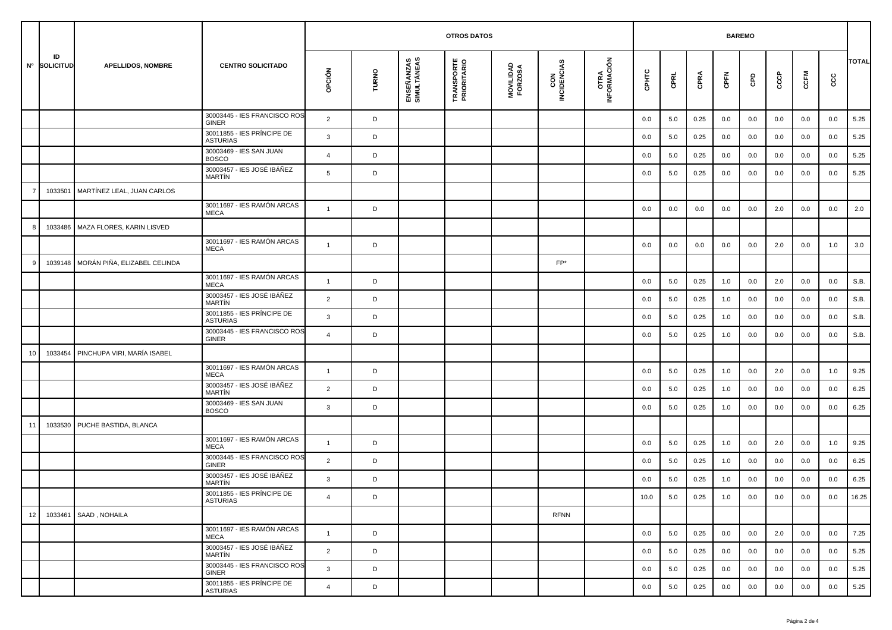|    |                    |                              |                                               | <b>BAREMO</b><br><b>OTROS DATOS</b> |       |                           |                                  |                      |                    |                             |       |         |      |         |     |     |      |     |              |  |  |
|----|--------------------|------------------------------|-----------------------------------------------|-------------------------------------|-------|---------------------------|----------------------------------|----------------------|--------------------|-----------------------------|-------|---------|------|---------|-----|-----|------|-----|--------------|--|--|
|    | ID<br>Nº SOLICITUD | <b>APELLIDOS, NOMBRE</b>     | <b>CENTRO SOLICITADO</b>                      | OPCIÓN                              | TURNO | ENSEÑANZAS<br>SIMULTÁNEAS | <b>TRANSPORTE</b><br>PRIORITARIO | MOVILIDAD<br>FORZOSA | CON<br>INCIDENCIAS | <b>OTRA<br/>INFORMACIÓN</b> | CPHTC | CPRL    | CPRA | CPFN    | GPD | င်င | CCFM | ငင  | <b>TOTAL</b> |  |  |
|    |                    |                              | 30003445 - IES FRANCISCO ROS<br><b>GINER</b>  | $\overline{2}$                      | D     |                           |                                  |                      |                    |                             | 0.0   | 5.0     | 0.25 | 0.0     | 0.0 | 0.0 | 0.0  | 0.0 | 5.25         |  |  |
|    |                    |                              | 30011855 - IES PRÍNCIPE DE<br><b>ASTURIAS</b> | $\mathbf{3}$                        | D     |                           |                                  |                      |                    |                             | 0.0   | 5.0     | 0.25 | 0.0     | 0.0 | 0.0 | 0.0  | 0.0 | 5.25         |  |  |
|    |                    |                              | 30003469 - IES SAN JUAN<br><b>BOSCO</b>       | $\overline{4}$                      | D     |                           |                                  |                      |                    |                             | 0.0   | 5.0     | 0.25 | 0.0     | 0.0 | 0.0 | 0.0  | 0.0 | 5.25         |  |  |
|    |                    |                              | 30003457 - IES JOSÉ IBÁÑEZ<br>MARTÍN          | 5                                   | D     |                           |                                  |                      |                    |                             | 0.0   | 5.0     | 0.25 | 0.0     | 0.0 | 0.0 | 0.0  | 0.0 | 5.25         |  |  |
|    | 1033501            | MARTÍNEZ LEAL, JUAN CARLOS   |                                               |                                     |       |                           |                                  |                      |                    |                             |       |         |      |         |     |     |      |     |              |  |  |
|    |                    |                              | 30011697 - IES RAMÓN ARCAS<br><b>MECA</b>     | $\mathbf{1}$                        | D     |                           |                                  |                      |                    |                             | 0.0   | 0.0     | 0.0  | 0.0     | 0.0 | 2.0 | 0.0  | 0.0 | 2.0          |  |  |
|    | 1033486            | MAZA FLORES, KARIN LISVED    |                                               |                                     |       |                           |                                  |                      |                    |                             |       |         |      |         |     |     |      |     |              |  |  |
|    |                    |                              | 30011697 - IES RAMÓN ARCAS<br><b>MECA</b>     | $\mathbf{1}$                        | D     |                           |                                  |                      |                    |                             | 0.0   | 0.0     | 0.0  | 0.0     | 0.0 | 2.0 | 0.0  | 1.0 | 3.0          |  |  |
|    | 1039148            | MORÁN PIÑA, ELIZABEL CELINDA |                                               |                                     |       |                           |                                  |                      | $FP*$              |                             |       |         |      |         |     |     |      |     |              |  |  |
|    |                    |                              | 30011697 - IES RAMÓN ARCAS<br><b>MECA</b>     | $\overline{1}$                      | D     |                           |                                  |                      |                    |                             | 0.0   | 5.0     | 0.25 | 1.0     | 0.0 | 2.0 | 0.0  | 0.0 | S.B.         |  |  |
|    |                    |                              | 30003457 - IES JOSÉ IBÁÑEZ<br>MARTÍN          | 2                                   | D     |                           |                                  |                      |                    |                             | 0.0   | 5.0     | 0.25 | 1.0     | 0.0 | 0.0 | 0.0  | 0.0 | S.B.         |  |  |
|    |                    |                              | 30011855 - IES PRÍNCIPE DE<br><b>ASTURIAS</b> | $\mathbf{3}$                        | D     |                           |                                  |                      |                    |                             | 0.0   | 5.0     | 0.25 | 1.0     | 0.0 | 0.0 | 0.0  | 0.0 | S.B.         |  |  |
|    |                    |                              | 30003445 - IES FRANCISCO ROS<br><b>GINER</b>  | $\overline{4}$                      | D     |                           |                                  |                      |                    |                             | 0.0   | 5.0     | 0.25 | 1.0     | 0.0 | 0.0 | 0.0  | 0.0 | S.B.         |  |  |
| 10 | 1033454            | PINCHUPA VIRI, MARÍA ISABEL  |                                               |                                     |       |                           |                                  |                      |                    |                             |       |         |      |         |     |     |      |     |              |  |  |
|    |                    |                              | 30011697 - IES RAMÓN ARCAS<br><b>MECA</b>     | $\mathbf{1}$                        | D     |                           |                                  |                      |                    |                             | 0.0   | 5.0     | 0.25 | 1.0     | 0.0 | 2.0 | 0.0  | 1.0 | 9.25         |  |  |
|    |                    |                              | 30003457 - IES JOSÉ IBÁÑEZ<br><b>MARTIN</b>   | 2                                   | D     |                           |                                  |                      |                    |                             | 0.0   | 5.0     | 0.25 | 1.0     | 0.0 | 0.0 | 0.0  | 0.0 | 6.25         |  |  |
|    |                    |                              | 30003469 - IES SAN JUAN<br><b>BOSCO</b>       | 3                                   | D     |                           |                                  |                      |                    |                             | 0.0   | 5.0     | 0.25 | 1.0     | 0.0 | 0.0 | 0.0  | 0.0 | 6.25         |  |  |
| 11 | 1033530            | PUCHE BASTIDA, BLANCA        |                                               |                                     |       |                           |                                  |                      |                    |                             |       |         |      |         |     |     |      |     |              |  |  |
|    |                    |                              | 30011697 - IES RAMÓN ARCAS<br><b>MECA</b>     | $\mathbf{1}$                        | D     |                           |                                  |                      |                    |                             | 0.0   | 5.0     | 0.25 | 1.0     | 0.0 | 2.0 | 0.0  | 1.0 | 9.25         |  |  |
|    |                    |                              | 30003445 - IES FRANCISCO ROS<br><b>GINER</b>  | $\overline{2}$                      | D     |                           |                                  |                      |                    |                             | 0.0   | 5.0     | 0.25 | 1.0     | 0.0 | 0.0 | 0.0  | 0.0 | 6.25         |  |  |
|    |                    |                              | 30003457 - IES JOSÉ IBÁÑEZ<br>MARTÍN          | 3                                   | D     |                           |                                  |                      |                    |                             | 0.0   | 5.0     | 0.25 | 1.0     | 0.0 | 0.0 | 0.0  | 0.0 | 6.25         |  |  |
|    |                    |                              | 30011855 - IES PRÍNCIPE DE<br><b>ASTURIAS</b> |                                     |       |                           |                                  |                      |                    |                             | 10.0  | $5.0\,$ | 0.25 | $1.0\,$ | 0.0 | 0.0 | 0.0  | 0.0 | 16.25        |  |  |
| 12 | 1033461            | SAAD, NOHAILA                |                                               |                                     |       |                           |                                  |                      | <b>RFNN</b>        |                             |       |         |      |         |     |     |      |     |              |  |  |
|    |                    |                              | 30011697 - IES RAMÓN ARCAS<br>MECA            | $\mathbf{1}$                        | D     |                           |                                  |                      |                    |                             | 0.0   | 5.0     | 0.25 | 0.0     | 0.0 | 2.0 | 0.0  | 0.0 | 7.25         |  |  |
|    |                    |                              | 30003457 - IES JOSÉ IBÁÑEZ<br>MARTÍN          | $\overline{2}$                      | D     |                           |                                  |                      |                    |                             | 0.0   | 5.0     | 0.25 | 0.0     | 0.0 | 0.0 | 0.0  | 0.0 | 5.25         |  |  |
|    |                    |                              | 30003445 - IES FRANCISCO ROS<br>GINER         | $\mathbf{3}$                        | D     |                           |                                  |                      |                    |                             | 0.0   | 5.0     | 0.25 | 0.0     | 0.0 | 0.0 | 0.0  | 0.0 | 5.25         |  |  |
|    |                    |                              | 30011855 - IES PRÍNCIPE DE<br><b>ASTURIAS</b> | $\overline{4}$                      | D     |                           |                                  |                      |                    |                             | 0.0   | 5.0     | 0.25 | 0.0     | 0.0 | 0.0 | 0.0  | 0.0 | 5.25         |  |  |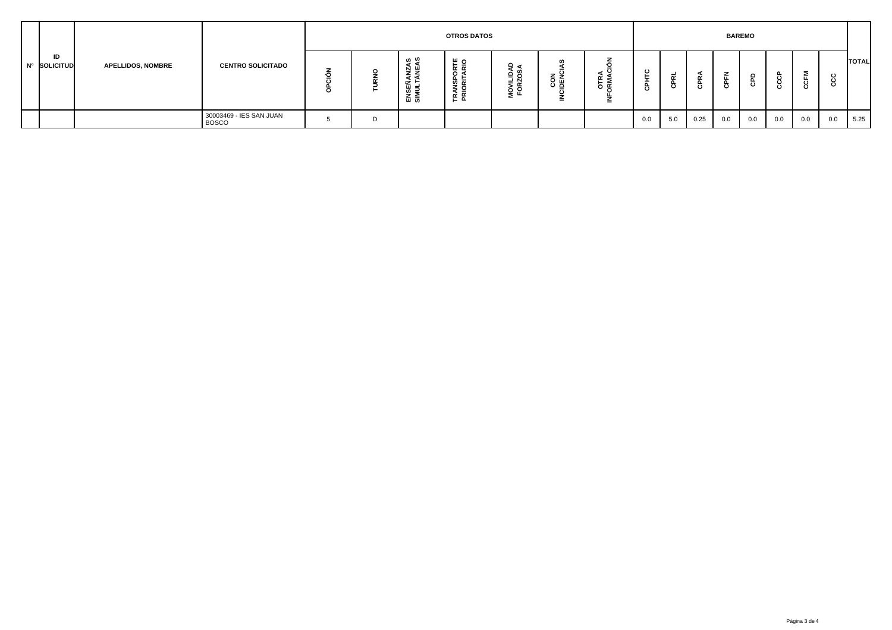|  |                    |                          |                                         | <b>OTROS DATOS</b> |   |                               |                                                               |                          |                                                        |    |                        |             | <b>BAREMO</b> |        |                        |     |               |     |              |  |  |
|--|--------------------|--------------------------|-----------------------------------------|--------------------|---|-------------------------------|---------------------------------------------------------------|--------------------------|--------------------------------------------------------|----|------------------------|-------------|---------------|--------|------------------------|-----|---------------|-----|--------------|--|--|
|  | ID<br>Nº SOLICITUD | <b>APELLIDOS, NOMBRE</b> | <b>CENTRO SOLICITADO</b>                |                    |   | ი ო<br>⋐<br>- ⊞ =<br>ENS<br>5 | ہ ۳<br>ir ∝<br>ဖာ<br>$\overline{\alpha}$<br>z ö<br>- 주<br>- 주 | ≏<br>MOVILIDA<br>FORZOSJ | w<br>z <del>5</del><br>8 핑<br>$\overline{\phantom{a}}$ | δ⊈ | $\mathbf{c}$<br>௨<br>ω | $\mathbf c$ |               | 준<br>흉 | $\circ$<br>$\mathbf c$ |     | Σ<br>ш<br>ပ္ပ |     | <b>TOTAL</b> |  |  |
|  |                    |                          | 30003469 - IES SAN JUAN<br><b>BOSCO</b> |                    | D |                               |                                                               |                          |                                                        |    | 0.0                    | 5.0         | 0.25          | 0.0    | 0.0                    | 0.0 | 0.0           | 0.0 | 5.25         |  |  |